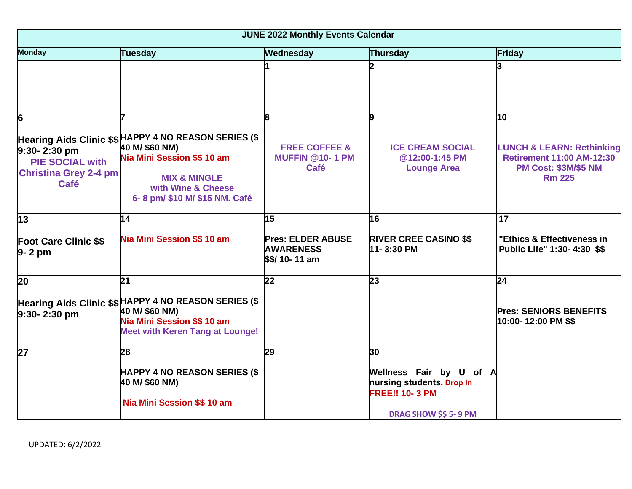| <b>JUNE 2022 Monthly Events Calendar</b>                                                  |                                                                                                                                                                                          |                                                                   |                                                                               |                                                                                                                          |
|-------------------------------------------------------------------------------------------|------------------------------------------------------------------------------------------------------------------------------------------------------------------------------------------|-------------------------------------------------------------------|-------------------------------------------------------------------------------|--------------------------------------------------------------------------------------------------------------------------|
| <b>Monday</b>                                                                             | Tuesday                                                                                                                                                                                  | Wednesday                                                         | <b>Thursday</b>                                                               | Friday                                                                                                                   |
|                                                                                           |                                                                                                                                                                                          |                                                                   |                                                                               | 3                                                                                                                        |
| 6                                                                                         |                                                                                                                                                                                          |                                                                   |                                                                               | 10                                                                                                                       |
| $9:30 - 2:30$ pm<br><b>PIE SOCIAL with</b><br><b>Christina Grey 2-4 pm</b><br><b>Café</b> | Hearing Aids Clinic \$\$ HAPPY 4 NO REASON SERIES (\$<br>40 M/ \$60 NM)<br>Nia Mini Session \$\$ 10 am<br><b>MIX &amp; MINGLE</b><br>with Wine & Cheese<br>6-8 pm/ \$10 M/ \$15 NM. Café | <b>FREE COFFEE &amp;</b><br><b>MUFFIN @10-1 PM</b><br><b>Café</b> | <b>ICE CREAM SOCIAL</b><br>@12:00-1:45 PM<br><b>Lounge Area</b>               | <b>LUNCH &amp; LEARN: Rethinking</b><br><b>Retirement 11:00 AM-12:30</b><br><b>PM Cost: \$3M/\$5 NM</b><br><b>Rm 225</b> |
| 13                                                                                        | 14                                                                                                                                                                                       | 15                                                                | 16                                                                            | 17                                                                                                                       |
| <b>Foot Care Clinic \$\$</b><br>$9 - 2$ pm                                                | Nia Mini Session \$\$10 am                                                                                                                                                               | <b>Pres: ELDER ABUSE</b><br><b>AWARENESS</b><br>\$\$/ 10-11 am    | <b>RIVER CREE CASINO \$\$</b><br>11-3:30 PM                                   | "Ethics & Effectiveness in<br>Public Life" 1:30- 4:30 \$\$                                                               |
| 20                                                                                        | 21                                                                                                                                                                                       | 22                                                                | 23                                                                            | 24                                                                                                                       |
| $9:30 - 2:30$ pm                                                                          | Hearing Aids Clinic \$\$ HAPPY 4 NO REASON SERIES (\$<br>40 M/ \$60 NM)<br>Nia Mini Session \$\$10 am<br><b>Meet with Keren Tang at Lounge!</b>                                          |                                                                   |                                                                               | <b>Pres: SENIORS BENEFITS</b><br>10:00- 12:00 PM \$\$                                                                    |
| 27                                                                                        | 28                                                                                                                                                                                       | 29                                                                | 30                                                                            |                                                                                                                          |
|                                                                                           | <b>HAPPY 4 NO REASON SERIES (\$</b><br>40 M/ \$60 NM)<br>Nia Mini Session \$\$ 10 am                                                                                                     |                                                                   | Wellness Fair by U of A<br>nursing students. Drop In<br><b>FREE!! 10-3 PM</b> |                                                                                                                          |
|                                                                                           |                                                                                                                                                                                          |                                                                   | <b>DRAG SHOW \$\$ 5-9 PM</b>                                                  |                                                                                                                          |

UPDATED: 6/2/2022